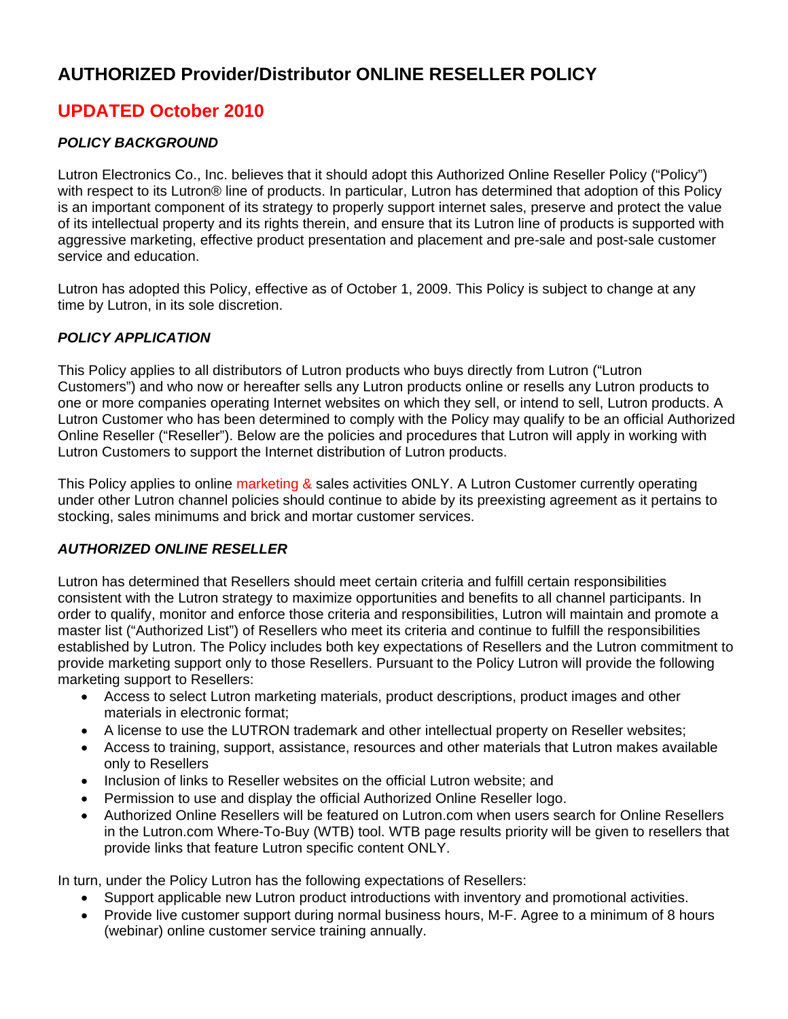# **AUTHORIZED Provider/Distributor ONLINE RESELLER POLICY**

## **UPDATED October 2010**

## *POLICY BACKGROUND*

Lutron Electronics Co., Inc. believes that it should adopt this Authorized Online Reseller Policy ("Policy") with respect to its Lutron® line of products. In particular, Lutron has determined that adoption of this Policy is an important component of its strategy to properly support internet sales, preserve and protect the value of its intellectual property and its rights therein, and ensure that its Lutron line of products is supported with aggressive marketing, effective product presentation and placement and pre-sale and post-sale customer service and education.

Lutron has adopted this Policy, effective as of October 1, 2009. This Policy is subject to change at any time by Lutron, in its sole discretion.

## *POLICY APPLICATION*

This Policy applies to all distributors of Lutron products who buys directly from Lutron ("Lutron Customers") and who now or hereafter sells any Lutron products online or resells any Lutron products to one or more companies operating Internet websites on which they sell, or intend to sell, Lutron products. A Lutron Customer who has been determined to comply with the Policy may qualify to be an official Authorized Online Reseller ("Reseller"). Below are the policies and procedures that Lutron will apply in working with Lutron Customers to support the Internet distribution of Lutron products.

This Policy applies to online marketing & sales activities ONLY. A Lutron Customer currently operating under other Lutron channel policies should continue to abide by its preexisting agreement as it pertains to stocking, sales minimums and brick and mortar customer services.

## *AUTHORIZED ONLINE RESELLER*

Lutron has determined that Resellers should meet certain criteria and fulfill certain responsibilities consistent with the Lutron strategy to maximize opportunities and benefits to all channel participants. In order to qualify, monitor and enforce those criteria and responsibilities, Lutron will maintain and promote a master list ("Authorized List") of Resellers who meet its criteria and continue to fulfill the responsibilities established by Lutron. The Policy includes both key expectations of Resellers and the Lutron commitment to provide marketing support only to those Resellers. Pursuant to the Policy Lutron will provide the following marketing support to Resellers:

- Access to select Lutron marketing materials, product descriptions, product images and other materials in electronic format;
- A license to use the LUTRON trademark and other intellectual property on Reseller websites;
- Access to training, support, assistance, resources and other materials that Lutron makes available only to Resellers
- Inclusion of links to Reseller websites on the official Lutron website; and
- Permission to use and display the official Authorized Online Reseller logo.
- Authorized Online Resellers will be featured on Lutron.com when users search for Online Resellers in the Lutron.com Where-To-Buy (WTB) tool. WTB page results priority will be given to resellers that provide links that feature Lutron specific content ONLY.

In turn, under the Policy Lutron has the following expectations of Resellers:

- Support applicable new Lutron product introductions with inventory and promotional activities.
- Provide live customer support during normal business hours, M-F. Agree to a minimum of 8 hours (webinar) online customer service training annually.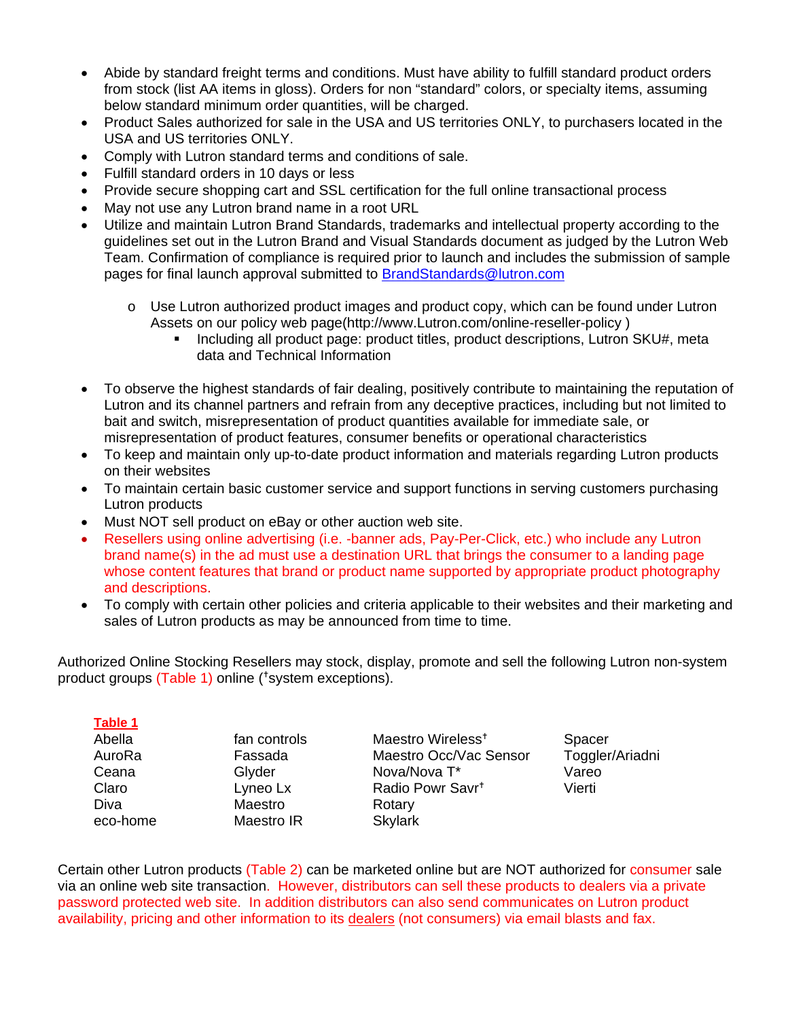- Abide by standard freight terms and conditions. Must have ability to fulfill standard product orders from stock (list AA items in gloss). Orders for non "standard" colors, or specialty items, assuming below standard minimum order quantities, will be charged.
- Product Sales authorized for sale in the USA and US territories ONLY, to purchasers located in the USA and US territories ONLY.
- Comply with Lutron standard terms and conditions of sale.
- Fulfill standard orders in 10 days or less
- Provide secure shopping cart and SSL certification for the full online transactional process
- May not use any Lutron brand name in a root URL
- Utilize and maintain Lutron Brand Standards, trademarks and intellectual property according to the guidelines set out in the Lutron Brand and Visual Standards document as judged by the Lutron Web Team. Confirmation of compliance is required prior to launch and includes the submission of sample pages for final launch approval submitted to [BrandStandards@lutron.com](mailto:BrandStandards@lutron.com)
	- o Use Lutron authorized product images and product copy, which can be found under Lutron Assets on our policy web page(http://www.Lutron.com/online-reseller-policy )
		- **Including all product page: product titles, product descriptions, Lutron SKU#, meta** data and Technical Information
- To observe the highest standards of fair dealing, positively contribute to maintaining the reputation of Lutron and its channel partners and refrain from any deceptive practices, including but not limited to bait and switch, misrepresentation of product quantities available for immediate sale, or misrepresentation of product features, consumer benefits or operational characteristics
- To keep and maintain only up-to-date product information and materials regarding Lutron products on their websites
- To maintain certain basic customer service and support functions in serving customers purchasing Lutron products
- Must NOT sell product on eBay or other auction web site.
- Resellers using online advertising (i.e. -banner ads, Pay-Per-Click, etc.) who include any Lutron brand name(s) in the ad must use a destination URL that brings the consumer to a landing page whose content features that brand or product name supported by appropriate product photography and descriptions.
- To comply with certain other policies and criteria applicable to their websites and their marketing and sales of Lutron products as may be announced from time to time.

Authorized Online Stocking Resellers may stock, display, promote and sell the following Lutron non-system product groups (Table 1) online (<sup>†</sup>system exceptions).

| <b>Table 1</b> |              |                               |                 |
|----------------|--------------|-------------------------------|-----------------|
| Abella         | fan controls | Maestro Wireless <sup>+</sup> | Spacer          |
| AuroRa         | Fassada      | Maestro Occ/Vac Sensor        | Toggler/Ariadni |
| Ceana          | Glyder       | Nova/Nova T*                  | Vareo           |
| Claro          | Lyneo Lx     | Radio Powr Savr <sup>+</sup>  | Vierti          |
| Diva           | Maestro      | Rotary                        |                 |
| eco-home       | Maestro IR   | <b>Skylark</b>                |                 |

Certain other Lutron products (Table 2) can be marketed online but are NOT authorized for consumer sale via an online web site transaction. However, distributors can sell these products to dealers via a private password protected web site. In addition distributors can also send communicates on Lutron product availability, pricing and other information to its dealers (not consumers) via email blasts and fax.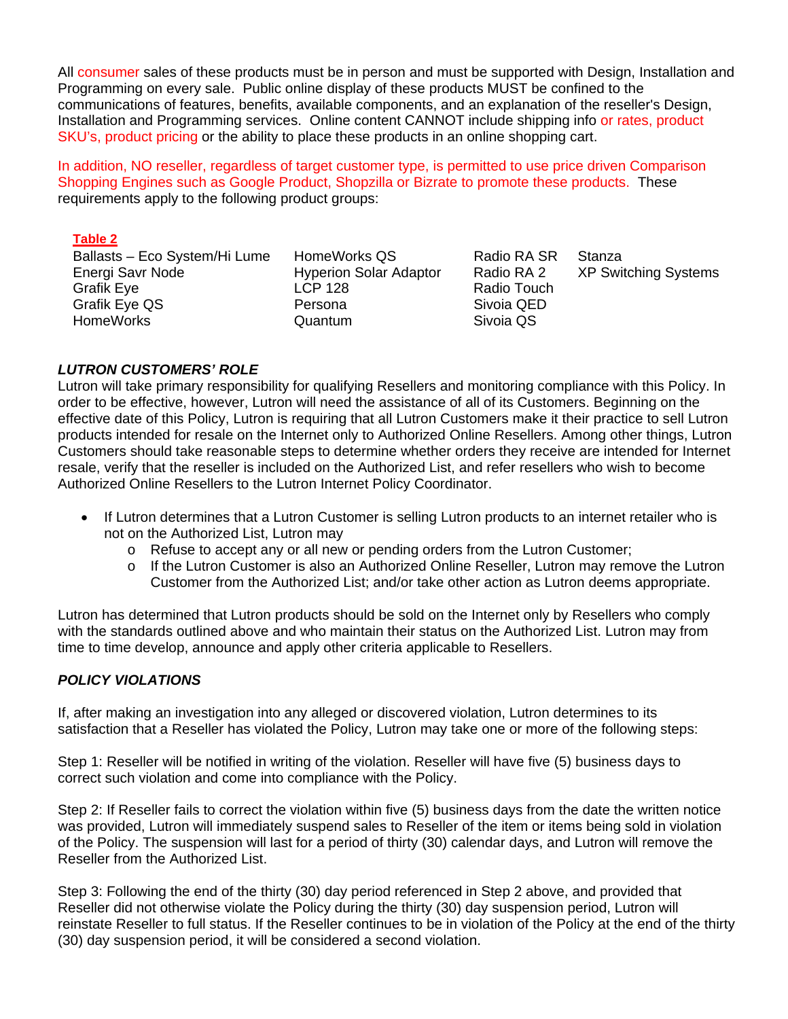All consumer sales of these products must be in person and must be supported with Design, Installation and Programming on every sale. Public online display of these products MUST be confined to the communications of features, benefits, available components, and an explanation of the reseller's Design, Installation and Programming services. Online content CANNOT include shipping info or rates, product SKU's, product pricing or the ability to place these products in an online shopping cart.

In addition, NO reseller, regardless of target customer type, is permitted to use price driven Comparison Shopping Engines such as Google Product, Shopzilla or Bizrate to promote these products. These requirements apply to the following product groups:

#### **Table 2**

| Ballasts – Eco System/Hi Lume |
|-------------------------------|
| Energi Savr Node              |
| Grafik Eye                    |
| Grafik Eye QS                 |
| HomeWorks                     |

Ballame Works OS Radio RA SR Stanza LCP 128 Radio Touch Persona Sivoia QED Quantum Sivoia QS

Hyperion Solar Adaptor Radio RA 2 XP Switching Systems

### *LUTRON CUSTOMERS' ROLE*

Lutron will take primary responsibility for qualifying Resellers and monitoring compliance with this Policy. In order to be effective, however, Lutron will need the assistance of all of its Customers. Beginning on the effective date of this Policy, Lutron is requiring that all Lutron Customers make it their practice to sell Lutron products intended for resale on the Internet only to Authorized Online Resellers. Among other things, Lutron Customers should take reasonable steps to determine whether orders they receive are intended for Internet resale, verify that the reseller is included on the Authorized List, and refer resellers who wish to become Authorized Online Resellers to the Lutron Internet Policy Coordinator.

- If Lutron determines that a Lutron Customer is selling Lutron products to an internet retailer who is not on the Authorized List, Lutron may
	- o Refuse to accept any or all new or pending orders from the Lutron Customer;
	- o If the Lutron Customer is also an Authorized Online Reseller, Lutron may remove the Lutron Customer from the Authorized List; and/or take other action as Lutron deems appropriate.

Lutron has determined that Lutron products should be sold on the Internet only by Resellers who comply with the standards outlined above and who maintain their status on the Authorized List. Lutron may from time to time develop, announce and apply other criteria applicable to Resellers.

## *POLICY VIOLATIONS*

If, after making an investigation into any alleged or discovered violation, Lutron determines to its satisfaction that a Reseller has violated the Policy, Lutron may take one or more of the following steps:

Step 1: Reseller will be notified in writing of the violation. Reseller will have five (5) business days to correct such violation and come into compliance with the Policy.

Step 2: If Reseller fails to correct the violation within five (5) business days from the date the written notice was provided, Lutron will immediately suspend sales to Reseller of the item or items being sold in violation of the Policy. The suspension will last for a period of thirty (30) calendar days, and Lutron will remove the Reseller from the Authorized List.

Step 3: Following the end of the thirty (30) day period referenced in Step 2 above, and provided that Reseller did not otherwise violate the Policy during the thirty (30) day suspension period, Lutron will reinstate Reseller to full status. If the Reseller continues to be in violation of the Policy at the end of the thirty (30) day suspension period, it will be considered a second violation.